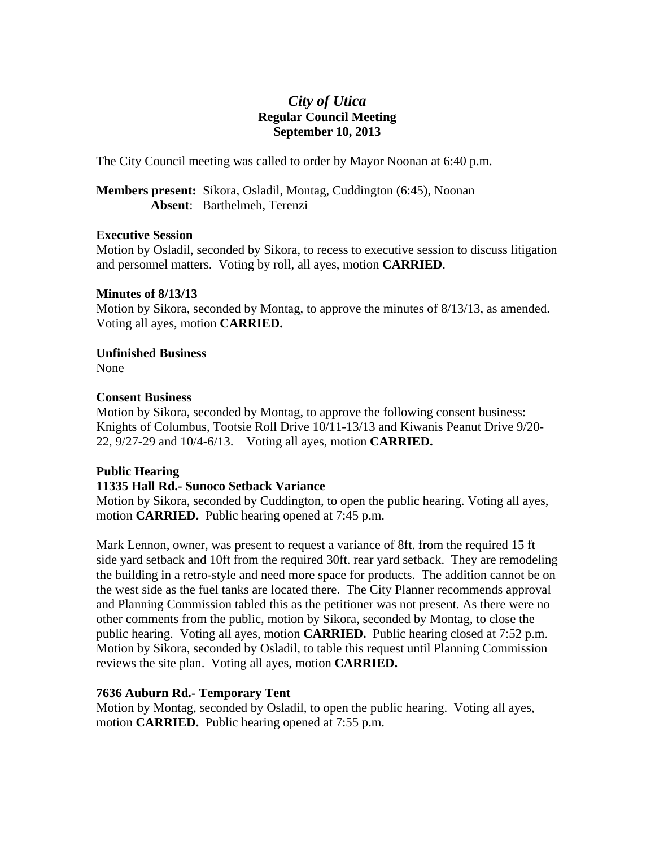# *City of Utica*  **Regular Council Meeting September 10, 2013**

The City Council meeting was called to order by Mayor Noonan at 6:40 p.m.

**Members present:** Sikora, Osladil, Montag, Cuddington (6:45), Noonan **Absent**: Barthelmeh, Terenzi

#### **Executive Session**

Motion by Osladil, seconded by Sikora, to recess to executive session to discuss litigation and personnel matters. Voting by roll, all ayes, motion **CARRIED**.

# **Minutes of 8/13/13**

Motion by Sikora, seconded by Montag, to approve the minutes of 8/13/13, as amended. Voting all ayes, motion **CARRIED.** 

**Unfinished Business** 

None

# **Consent Business**

Motion by Sikora, seconded by Montag, to approve the following consent business: Knights of Columbus, Tootsie Roll Drive 10/11-13/13 and Kiwanis Peanut Drive 9/20- 22, 9/27-29 and 10/4-6/13. Voting all ayes, motion **CARRIED.** 

# **Public Hearing**

# **11335 Hall Rd.- Sunoco Setback Variance**

Motion by Sikora, seconded by Cuddington, to open the public hearing. Voting all ayes, motion **CARRIED.** Public hearing opened at 7:45 p.m.

Mark Lennon, owner, was present to request a variance of 8ft. from the required 15 ft side yard setback and 10ft from the required 30ft. rear yard setback. They are remodeling the building in a retro-style and need more space for products. The addition cannot be on the west side as the fuel tanks are located there. The City Planner recommends approval and Planning Commission tabled this as the petitioner was not present. As there were no other comments from the public, motion by Sikora, seconded by Montag, to close the public hearing. Voting all ayes, motion **CARRIED.** Public hearing closed at 7:52 p.m. Motion by Sikora, seconded by Osladil, to table this request until Planning Commission reviews the site plan. Voting all ayes, motion **CARRIED.** 

# **7636 Auburn Rd.- Temporary Tent**

Motion by Montag, seconded by Osladil, to open the public hearing. Voting all ayes, motion **CARRIED.** Public hearing opened at 7:55 p.m.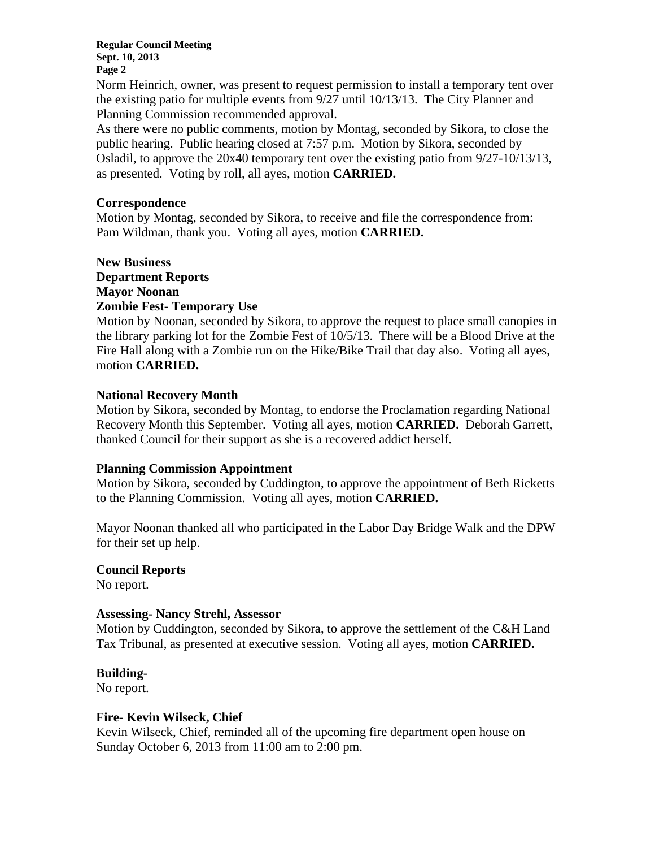**Regular Council Meeting Sept. 10, 2013 Page 2** 

Norm Heinrich, owner, was present to request permission to install a temporary tent over the existing patio for multiple events from 9/27 until 10/13/13. The City Planner and Planning Commission recommended approval.

As there were no public comments, motion by Montag, seconded by Sikora, to close the public hearing. Public hearing closed at 7:57 p.m. Motion by Sikora, seconded by Osladil, to approve the 20x40 temporary tent over the existing patio from 9/27-10/13/13, as presented. Voting by roll, all ayes, motion **CARRIED.** 

#### **Correspondence**

Motion by Montag, seconded by Sikora, to receive and file the correspondence from: Pam Wildman, thank you. Voting all ayes, motion **CARRIED.**

## **New Business Department Reports Mayor Noonan Zombie Fest- Temporary Use**

Motion by Noonan, seconded by Sikora, to approve the request to place small canopies in the library parking lot for the Zombie Fest of 10/5/13. There will be a Blood Drive at the Fire Hall along with a Zombie run on the Hike/Bike Trail that day also. Voting all ayes, motion **CARRIED.** 

## **National Recovery Month**

Motion by Sikora, seconded by Montag, to endorse the Proclamation regarding National Recovery Month this September. Voting all ayes, motion **CARRIED.** Deborah Garrett, thanked Council for their support as she is a recovered addict herself.

#### **Planning Commission Appointment**

Motion by Sikora, seconded by Cuddington, to approve the appointment of Beth Ricketts to the Planning Commission. Voting all ayes, motion **CARRIED.** 

Mayor Noonan thanked all who participated in the Labor Day Bridge Walk and the DPW for their set up help.

#### **Council Reports**

No report.

#### **Assessing- Nancy Strehl, Assessor**

Motion by Cuddington, seconded by Sikora, to approve the settlement of the C&H Land Tax Tribunal, as presented at executive session. Voting all ayes, motion **CARRIED.** 

#### **Building-**

No report.

#### **Fire- Kevin Wilseck, Chief**

Kevin Wilseck, Chief, reminded all of the upcoming fire department open house on Sunday October 6, 2013 from 11:00 am to 2:00 pm.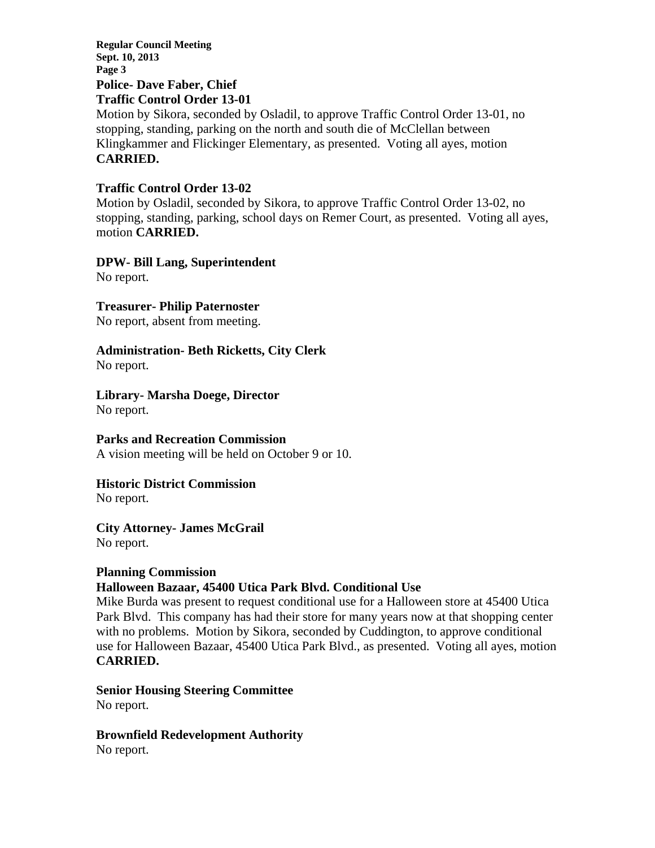**Regular Council Meeting Sept. 10, 2013 Page 3 Police- Dave Faber, Chief** 

# **Traffic Control Order 13-01**

Motion by Sikora, seconded by Osladil, to approve Traffic Control Order 13-01, no stopping, standing, parking on the north and south die of McClellan between Klingkammer and Flickinger Elementary, as presented. Voting all ayes, motion **CARRIED.** 

## **Traffic Control Order 13-02**

Motion by Osladil, seconded by Sikora, to approve Traffic Control Order 13-02, no stopping, standing, parking, school days on Remer Court, as presented. Voting all ayes, motion **CARRIED.** 

# **DPW- Bill Lang, Superintendent**

No report.

## **Treasurer- Philip Paternoster**

No report, absent from meeting.

# **Administration- Beth Ricketts, City Clerk**

No report.

# **Library- Marsha Doege, Director**

No report.

# **Parks and Recreation Commission**

A vision meeting will be held on October 9 or 10.

# **Historic District Commission**

No report.

# **City Attorney- James McGrail**

No report.

#### **Planning Commission**

# **Halloween Bazaar, 45400 Utica Park Blvd. Conditional Use**

Mike Burda was present to request conditional use for a Halloween store at 45400 Utica Park Blvd. This company has had their store for many years now at that shopping center with no problems. Motion by Sikora, seconded by Cuddington, to approve conditional use for Halloween Bazaar, 45400 Utica Park Blvd., as presented. Voting all ayes, motion **CARRIED.** 

## **Senior Housing Steering Committee**  No report.

**Brownfield Redevelopment Authority**  No report.